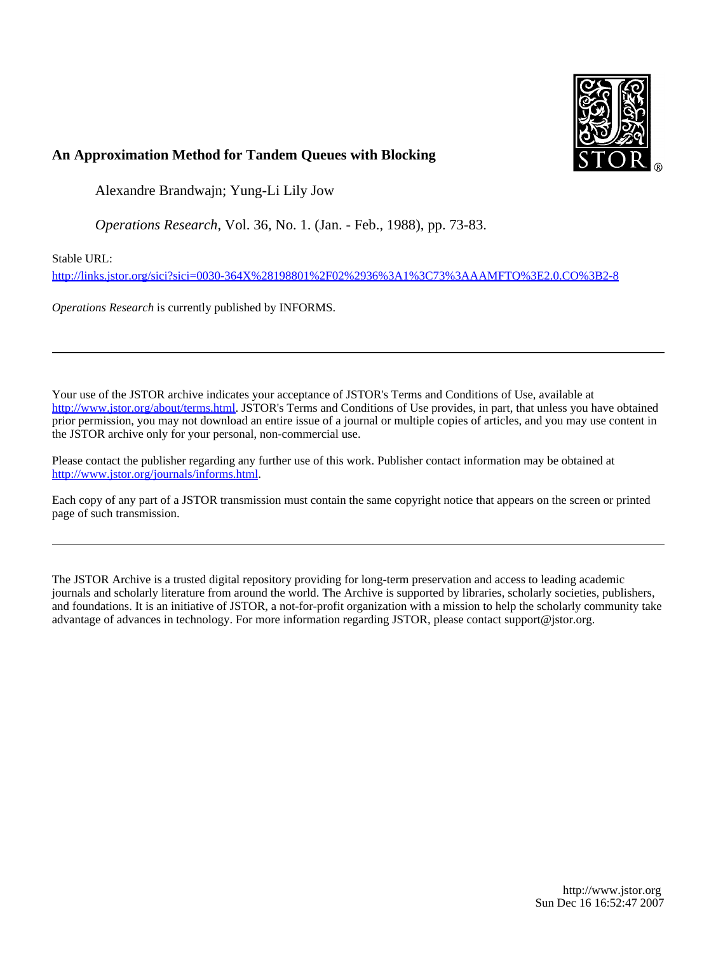

# **An Approximation Method for Tandem Queues with Blocking**

Alexandre Brandwajn; Yung-Li Lily Jow

*Operations Research*, Vol. 36, No. 1. (Jan. - Feb., 1988), pp. 73-83.

Stable URL:

<http://links.jstor.org/sici?sici=0030-364X%28198801%2F02%2936%3A1%3C73%3AAAMFTQ%3E2.0.CO%3B2-8>

*Operations Research* is currently published by INFORMS.

Your use of the JSTOR archive indicates your acceptance of JSTOR's Terms and Conditions of Use, available at [http://www.jstor.org/about/terms.html.](http://www.jstor.org/about/terms.html) JSTOR's Terms and Conditions of Use provides, in part, that unless you have obtained prior permission, you may not download an entire issue of a journal or multiple copies of articles, and you may use content in the JSTOR archive only for your personal, non-commercial use.

Please contact the publisher regarding any further use of this work. Publisher contact information may be obtained at [http://www.jstor.org/journals/informs.html.](http://www.jstor.org/journals/informs.html)

Each copy of any part of a JSTOR transmission must contain the same copyright notice that appears on the screen or printed page of such transmission.

The JSTOR Archive is a trusted digital repository providing for long-term preservation and access to leading academic journals and scholarly literature from around the world. The Archive is supported by libraries, scholarly societies, publishers, and foundations. It is an initiative of JSTOR, a not-for-profit organization with a mission to help the scholarly community take advantage of advances in technology. For more information regarding JSTOR, please contact support@jstor.org.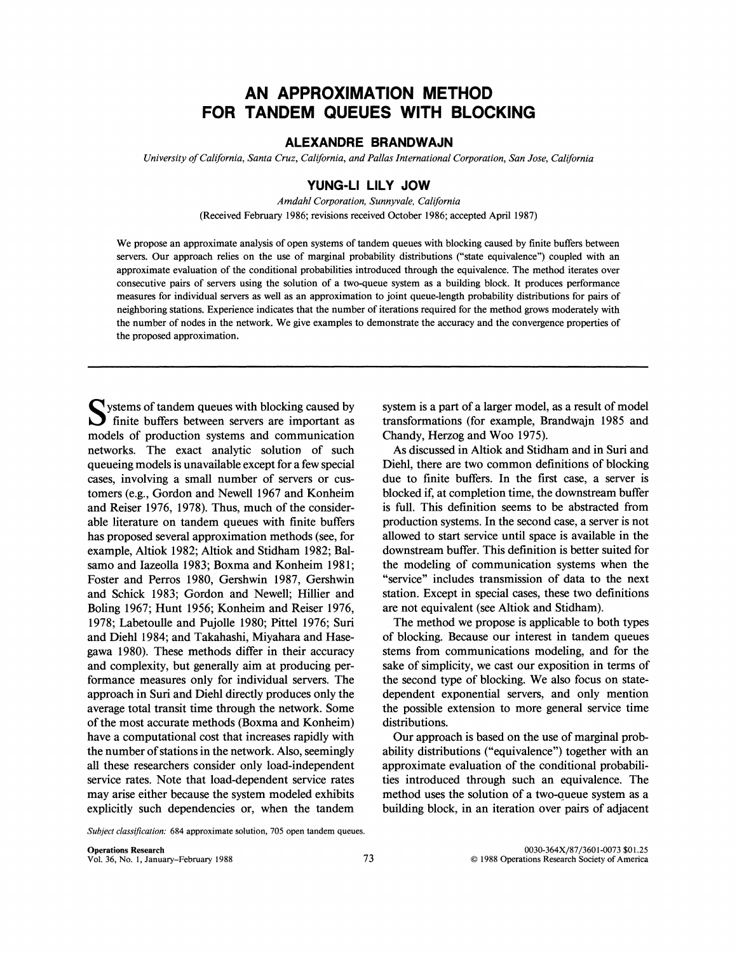# **AN APPROXIMATION METHOD FOR TANDEM QUEUES WITH BLOCKING**

## **ALEXANDRE BRANDWAJN**

*University of California, Santa Cruz, California, and Pallas International Corporation, Sun Jose, California* 

## **YUNG-LI LILY JOW**

*Amdahl Corporation, Sunnyvale, California*  (Received February 1986; revisions received October 1986; accepted April 1987)

We propose an approximate analysis of open systems of tandem queues with blocking caused by finite buffers between servers. Our approach relies on the use of marginal probability distributions ("state equivalence") coupled with an approximate evaluation of the conditional probabilities introduced through the equivalence. The method iterates over consecutive pairs of servers using the solution of a two-queue system as a building block. It produces performance measures for individual servers as well as an approximation to joint queue-length probability distributions for pairs of neighboring stations. Experience indicates that the number of iterations required for the method grows moderately with the number of nodes in the network. We give examples to demonstrate the accuracy and the convergence properties of the proposed approximation.

Systems of tandem queues with blocking caused by finite buffers between servers are important as models of production systems and communication networks. The exact analytic solution of such queueing models is unavailable except for a few special cases, involving a small number of servers or customers (e.g., Gordon and Newell 1967 and Konheim and Reiser 1976, 1978). Thus, much of the considerable literature on tandem queues with finite buffers has proposed several approximation methods (see, for example, Altiok 1982; Altiok and Stidham 1982; Balsamo and Iazeolla 1983; Boxma and Konheim 1981; Foster and Perros 1980, Gershwin 1987, Gershwin and Schick 1983; Gordon and Newell; Hillier and Boling 1967; Hunt 1956; Konheim and Reiser 1976, 1978; Labetoulle and Pujolle 1980; Pittel 1976; Sun and Diehl 1984; and Takahashi, Miyahara and Hasegawa 1980). These methods differ in their accuracy and complexity, but generally aim at producing performance measures only for individual servers. The approach in Suri and Diehl directly produces only the average total transit time through the network. Some of the most accurate methods (Boxma and Konheim) have a computational cost that increases rapidly with the number of stations in the network. Also, seemingly all these researchers consider only load-independent service rates. Note that load-dependent service rates may arise either because the system modeled exhibits explicitly such dependencies or, when the tandem

system is a part of a larger model, as a result of model transformations (for example, Brandwajn 1985 and Chandy, Herzog and Woo 1975).

As discussed in Altiok and Stidham and in Suri and Diehl, there are two common definitions of blocking due to finite buffers. In the first case, a server is blocked if, at completion time, the downstream buffer is full. This definition seems to be abstracted from production systems. In the second case, a server is not allowed to start service until space is available in the downstream buffer. This definition is better suited for the modeling of communication systems when the "service" includes transmission of data to the next station. Except in special cases, these two definitions are not equivalent (see Altiok and Stidham).

The method we propose is applicable to both types of blocking. Because our interest in tandem queues stems from communications modeling, and for the sake of simplicity, we cast our exposition in terms of the second type of blocking. We also focus on statedependent exponential servers, and only mention the possible extension to more general service time distributions.

Our approach is based on the use of marginal probability distributions ("equivalence") together with an approximate evaluation of the conditional probabilities introduced through such an equivalence. The method uses the solution of a two-queue system as a building block, in an iteration over pairs of adjacent

*Subject classification:* 684 approximate solution, 705 open tandem queues.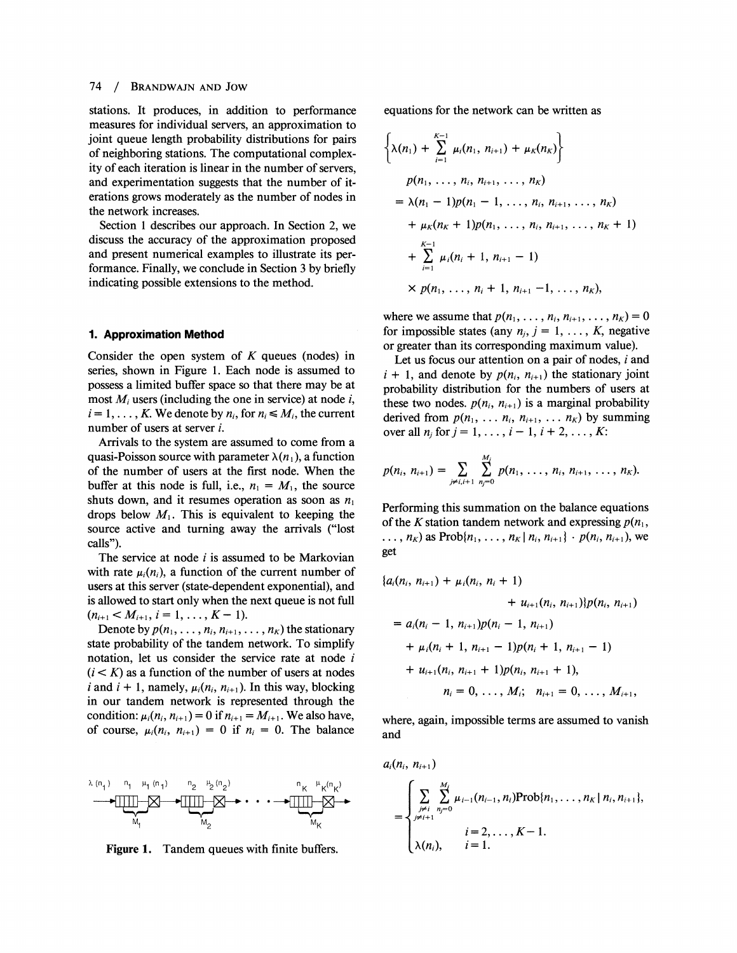#### 74 **BRANDWAJN AND JOW**  $\prime$

stations. It produces, in addition to performance measures for individual servers, an approximation to joint queue length probability distributions for pairs of neighboring stations. The computational complexity of each iteration is linear in the number of servers, and experimentation suggests that the number of iterations grows moderately as the number of nodes in the network increases.

Section 1 describes our approach. In Section 2, we discuss the accuracy of the approximation proposed and present numerical examples to illustrate its performance. Finally, we conclude in Section **3** by briefly indicating possible extensions to the method.

#### **1. Approximation Method**

Consider the open system of  $K$  queues (nodes) in series, shown in Figure 1. Each node is assumed to possess a limited buffer space so that there may be at most  $M_i$  users (including the one in service) at node i,  $i=1,\ldots,K$ . We denote by  $n_i$ , for  $n_i \leq M_i$ , the current number of users at server i.

Arrivals to the system are assumed to come from a quasi-Poisson source with parameter  $\lambda(n_1)$ , a function of the number of users at the first node. When the buffer at this node is full, i.e.,  $n_1 = M_1$ , the source shuts down, and it resumes operation as soon as  $n_1$ drops below  $M_1$ . This is equivalent to keeping the source active and turning away the arrivals ("lost calls").

The service at node  $i$  is assumed to be Markovian with rate  $\mu_i(n_i)$ , a function of the current number of users at this server (state-dependent exponential), and is allowed to start only when the next queue is not full  $(n_{i+1} < M_{i+1}, i = 1, \ldots, K-1).$ 

Denote by  $p(n_1, \ldots, n_i, n_{i+1}, \ldots, n_K)$  the stationary state probability of the tandem network. To simplify notation, let us consider the service rate at node i  $(i < K)$  as a function of the number of users at nodes i and  $i + 1$ , namely,  $\mu_i(n_i, n_{i+1})$ . In this way, blocking in our tandem network is represented through the condition:  $\mu_i(n_i, n_{i+1}) = 0$  if  $n_{i+1} = M_{i+1}$ . We also have, of course,  $\mu_i(n_i, n_{i+1}) = 0$  if  $n_i = 0$ . The balance



**Figure 1.** Tandem queues with finite buffers.

equations for the network can be written as

$$
\left\{\lambda(n_1) + \sum_{i=1}^{K-1} \mu_i(n_1, n_{i+1}) + \mu_K(n_K)\right\}
$$
  
\n
$$
p(n_1, \ldots, n_i, n_{i+1}, \ldots, n_K)
$$
  
\n
$$
= \lambda(n_1 - 1)p(n_1 - 1, \ldots, n_i, n_{i+1}, \ldots, n_K)
$$
  
\n
$$
+ \mu_K(n_K + 1)p(n_1, \ldots, n_i, n_{i+1}, \ldots, n_K + 1)
$$
  
\n
$$
+ \sum_{i=1}^{K-1} \mu_i(n_i + 1, n_{i+1} - 1)
$$
  
\n
$$
\times p(n_1, \ldots, n_i + 1, n_{i+1} - 1, \ldots, n_K),
$$

where we assume that  $p(n_1, \ldots, n_i, n_{i+1}, \ldots, n_K) = 0$ for impossible states (any  $n_j$ ,  $j = 1, \ldots, K$ , negative or greater than its corresponding maximum value).

Let us focus our attention on a pair of nodes,  $i$  and  $i + 1$ , and denote by  $p(n_i, n_{i+1})$  the stationary joint probability distribution for the numbers of users at these two nodes.  $p(n_i, n_{i+1})$  is a marginal probability derived from  $p(n_1, \ldots n_i, n_{i+1}, \ldots n_K)$  by summing over all  $n_i$  for  $j = 1, ..., i - 1, i + 2, ..., K$ :

$$
p(n_i, n_{i+1}) = \sum_{j \neq i, i+1} \sum_{n_j=0}^{M_i} p(n_1, \ldots, n_i, n_{i+1}, \ldots, n_K).
$$

Performing this summation on the balance equations of the K station tandem network and expressing  $p(n_1,$ ...,  $n_K$ ) as Prob{ $n_1, \ldots, n_K | n_i, n_{i+1} \} \cdot p(n_i, n_{i+1}),$  we get

$$
\{a_i(n_i, n_{i+1}) + \mu_i(n_i, n_i + 1) + u_{i+1}(n_i, n_{i+1})\}p(n_i, n_{i+1})
$$
  
=  $a_i(n_i - 1, n_{i+1})p(n_i - 1, n_{i+1}) + \mu_i(n_i + 1, n_{i+1} - 1)p(n_i + 1, n_{i+1} - 1) + u_{i+1}(n_i, n_{i+1} + 1)p(n_i, n_{i+1} + 1),$   
 $n_i = 0, ..., M_i; n_{i+1} = 0, ..., M_{i+1},$ 

where, again, impossible terms are assumed to vanish and

$$
a_i(n_i, n_{i+1})
$$
  
= 
$$
\begin{cases} \sum_{j \neq i} \sum_{n_j=0}^{M_i} \mu_{i-1}(n_{i-1}, n_i) \text{Prob}\{n_1, \dots, n_K \mid n_i, n_{i+1}\}, \\ \sum_{j \neq i+1} \mu_{i-1}(n_i, n_i) = 1, \\ \lambda(n_i), \quad i = 1. \end{cases}
$$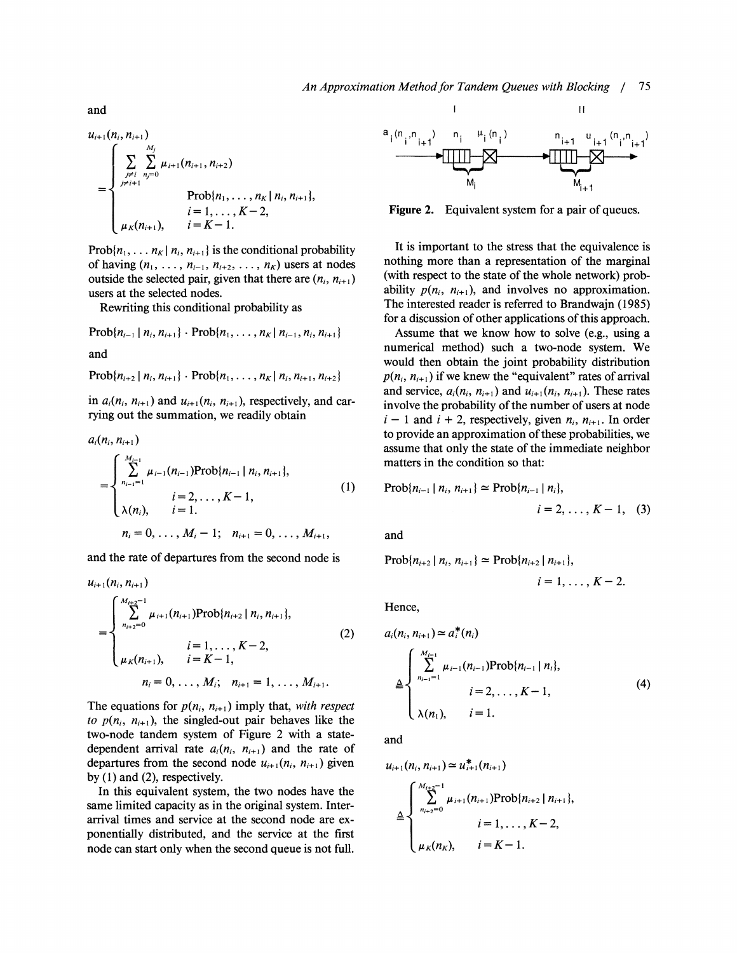$$
u_{i+1}(n_i, n_{i+1})
$$
\n
$$
= \begin{cases}\n\sum_{j \neq i}^{M_j} \sum_{n_j=0}^{M_j} \mu_{i+1}(n_{i+1}, n_{i+2}) \\
\sum_{j \neq i+1}^{M_j=0} \text{Prob}\{n_1, \ldots, n_K \mid n_i, n_{i+1}\}, \\
i = 1, \ldots, K-2, \\
\mu_K(n_{i+1}), \qquad i = K-1.\n\end{cases}
$$

 $Prob\{n_1, \ldots n_K | n_i, n_{i+1}\}$  is the conditional probability of having  $(n_1, \ldots, n_{i-1}, n_{i+2}, \ldots, n_K)$  users at nodes outside the selected pair, given that there are  $(n_i, n_{i+1})$ users at the selected nodes.

Rewriting this conditional probability as

Prob
$$
\{n_{i-1} | n_i, n_{i+1}\}
$$
 - Prob $\{n_1, ..., n_K | n_{i-1}, n_i, n_{i+1}\}$   
and

 $Prob{n_{i+2} | n_i, n_{i+1}} \cdot Prob{n_1, \ldots, n_K | n_i, n_{i+1}, n_{i+2}}$ 

in  $a_i(n_i, n_{i+1})$  and  $u_{i+1}(n_i, n_{i+1})$ , respectively, and carrying out the summation, we readily obtain

$$
a_i(n_i, n_{i+1})
$$
\n
$$
= \begin{cases}\n\sum_{n_{i-1}=1}^{M_{i-1}} \mu_{i-1}(n_{i-1}) \text{Prob}\{n_{i-1} | n_i, n_{i+1}\}, \\
i = 2, \dots, K-1, \\
\lambda(n_i), \quad i = 1.\n\end{cases} (1)
$$
\n
$$
n_i = 0, \dots, M_i - 1; \quad n_{i+1} = 0, \dots, M_{i+1}.
$$

and the rate of departures from the second node is

$$
u_{i+1}(n_i, n_{i+1})
$$
\n
$$
= \begin{cases}\n\sum_{n_{i+2}=0}^{M_{i+2}-1} \mu_{i+1}(n_{i+1}) \text{Prob}\{n_{i+2} \mid n_i, n_{i+1}\}, \\
i = 1, \dots, K-2, \\
\mu_K(n_{i+1}), \quad i = K-1, \\
n_i = 0, \dots, M_i; \quad n_{i+1} = 1, \dots, M_{i+1}.\n\end{cases}
$$
\n(2)

The equations for  $p(n_i, n_{i+1})$  imply that, with respect to  $p(n_i, n_{i+1})$ , the singled-out pair behaves like the two-node tandem system of Figure 2 with a statedependent arrival rate  $a_i(n_i, n_{i+1})$  and the rate of departures from the second node  $u_{i+1}(n_i, n_{i+1})$  given by (1) and (2), respectively.

In this equivalent system, the two nodes have the same limited capacity as in the original system. Interarrival times and service at the second node are exponentially distributed, and the service at the first node can start only when the second queue is not full.



Figure 2. Equivalent system for a pair of queues.

It is important to the stress that the equivalence is nothing more than a representation of the marginal (with respect to the state of the whole network) probability  $p(n_i, n_{i+1})$ , and involves no approximation. The interested reader is referred to Brandwajn (1985) for a discussion of other applications of this approach.

Assume that we know how to solve (e.g., using a numerical method) such a two-node system. We would then obtain the joint probability distribution  $p(n_i, n_{i+1})$  if we knew the "equivalent" rates of arrival and service,  $a_i(n_i, n_{i+1})$  and  $u_{i+1}(n_i, n_{i+1})$ . These rates involve the probability of the number of users at node  $i-1$  and  $i+2$ , respectively, given  $n_i$ ,  $n_{i+1}$ . In order to provide an approximation of these probabilities, we assume that only the state of the immediate neighbor matters in the condition so that:

$$
Prob{n_{i-1} | n_i, n_{i+1}} \simeq Prob{n_{i-1} | n_i},
$$
  
 $i = 2, ..., K - 1, (3)$ 

and

$$
Prob\{n_{i+2} \mid n_i, n_{i+1}\} \simeq Prob\{n_{i+2} \mid n_{i+1}\},\
$$

 $i = 1, \ldots, K - 2.$ 

Hence,

$$
a_i(n_i, n_{i+1}) \approx a_i^*(n_i)
$$
  
\n
$$
\triangleq \begin{cases} \sum_{n_{i-1}=1}^{M_{i-1}} \mu_{i-1}(n_{i-1}) \text{Prob}\{n_{i-1} | n_i\}, \\ i = 2, \dots, K - 1, \\ \lambda(n_1), \quad i = 1. \end{cases}
$$
 (4)

and

$$
u_{i+1}(n_i, n_{i+1}) \simeq u_{i+1}^*(n_{i+1})
$$
  
\n
$$
\triangleq \begin{cases} \sum_{n_{i+2}=0}^{M_{i+2}-1} \mu_{i+1}(n_{i+1}) \text{Prob}\{n_{i+2} \mid n_{i+1}\}, \\ i = 1, \ldots, K-2, \\ \mu_K(n_K), \qquad i = K-1. \end{cases}
$$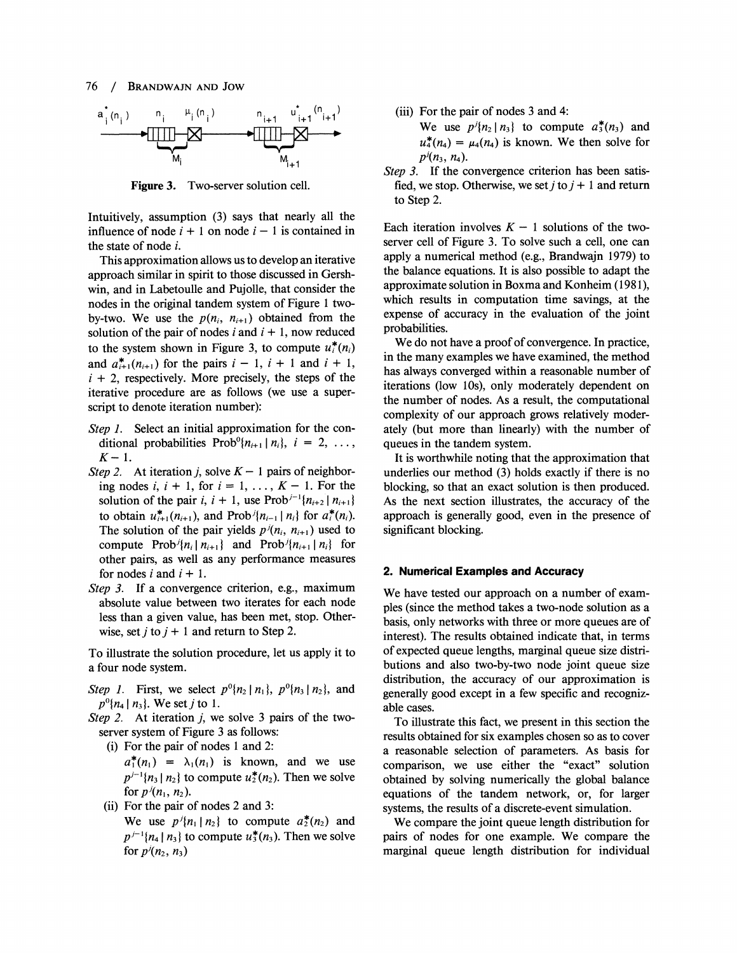

**Figure 3.** Two-server solution cell.

Intuitively, assumption (3) says that nearly all the influence of node  $i + 1$  on node  $i - 1$  is contained in the state of node i.

This approximation allows us to develop an iterative approach similar in spirit to those discussed in Gershwin, and in Labetoulle and Pujolle, that consider the nodes in the original tandem system of Figure 1 twoby-two. We use the  $p(n_i, n_{i+1})$  obtained from the solution of the pair of nodes i and  $i + 1$ , now reduced to the system shown in Figure 3, to compute  $u_i^*(n_i)$ and  $a_{i+1}^*(n_{i+1})$  for the pairs  $i - 1$ ,  $i + 1$  and  $i + 1$ ,  $i + 2$ , respectively. More precisely, the steps of the iterative procedure are as follows (we use a superscript to denote iteration number):

- Step 1. Select an initial approximation for the conditional probabilities  $Prob^{0}\lbrace n_{i+1} | n_{i} \rbrace$ ,  $i = 2, ...,$  $K-1$ .
- Step 2. At iteration *j*, solve  $K 1$  pairs of neighboring nodes i,  $i + 1$ , for  $i = 1, \ldots, K - 1$ . For the solution of the pair i,  $i + 1$ , use Prob<sup>j-1</sup> $\{n_{i+2} | n_{i+1}\}$ to obtain  $u_{i+1}^*(n_{i+1})$ , and Prob $i\{n_{i-1} \mid n_i\}$  for  $a_i^*(n_i)$ . The solution of the pair yields  $p^{j}(n_i, n_{i+1})$  used to compute Prob<sup>j</sup> $\{n_i | n_{i+1}\}$  and Prob<sup>j</sup> $\{n_{i+1} | n_i\}$  for other pairs, as well as any performance measures for nodes i and  $i + 1$ .
- Step 3. If a convergence criterion, e.g., maximum absolute value between two iterates for each node less than a given value, has been met, stop. Otherwise, set *j* to  $j + 1$  and return to Step 2.

To illustrate the solution procedure, let us apply it to a four node system.

- Step 1. First, we select  $p^{0}\{n_2 \mid n_1\}$ ,  $p^{0}\{n_3 \mid n_2\}$ , and  $p^{0}\{n_{4} \mid n_{3}\}$ . We set *j* to 1.
- Step 2. At iteration j, we solve **3** pairs of the twoserver system of Figure **3** as follows:
	- (i) For the pair of nodes 1 and 2:

 $a_1^*(n_1) = \lambda_1(n_1)$  is known, and we use  $p^{j-1}\{n_3 \mid n_2\}$  to compute  $u_2^*(n_2)$ . Then we solve for  $p^{j}(n_1, n_2)$ .

(ii) For the pair of nodes 2 and 3:

We use  $p^j\{n_1 \mid n_2\}$  to compute  $a_2^*(n_2)$  and  $p^{j-1}\{n_4 | n_3\}$  to compute  $u_3^*(n_3)$ . Then we solve for  $p'(n_2, n_3)$ 

(iii) For the pair of nodes 3 and 4:

We use  $p^{j}\lbrace n_2 | n_3 \rbrace$  to compute  $a_3^*(n_3)$  and  $u_4^*(n_4) = \mu_4(n_4)$  is known. We then solve for  $p^{j}(n_3, n_4)$ .

Step 3. If the convergence criterion has been satisfied, we stop. Otherwise, we set  $j$  to  $j + 1$  and return to Step 2.

Each iteration involves  $K - 1$  solutions of the twoserver cell of Figure **3.** To solve such a cell, one can apply a numerical method (e.g., Brandwajn 1979) to the balance equations. It is also possible to adapt the approximate solution in Boxma and Konheim (1981), which results in computation time savings, at the expense of accuracy in the evaluation of the joint probabilities.

We do not have a proof of convergence. In practice, in the many examples we have examined, the method has always converged within a reasonable number of iterations (low lOs), only moderately dependent on the number of nodes. As a result, the computational complexity of our approach grows relatively moderately (but more than linearly) with the number of queues in the tandem system.

It is worthwhile noting that the approximation that underlies our method (3) holds exactly if there is no blocking, so that an exact solution is then produced. As the next section illustrates, the accuracy of the approach is generally good, even in the presence of significant blocking.

#### **2. Numerical Examples and Accuracy**

We have tested our approach on a number of examples (since the method takes a two-node solution as a basis, only networks with three or more queues are of interest). The results obtained indicate that, in terms of expected queue lengths, marginal queue size distributions and also two-by-two node joint queue size distribution, the accuracy of our approximation is generally good except in a few specific and recognizable cases.

To illustrate this fact, we present in this section the results obtained for six examples chosen so as to cover a reasonable selection of parameters. As basis for comparison, we use either the "exact" solution obtained by solving numerically the global balance equations of the tandem network, or, for larger systems, the results of a discrete-event simulation.

We compare the joint queue length distribution for pairs of nodes for one example. We compare the marginal queue length distribution for individual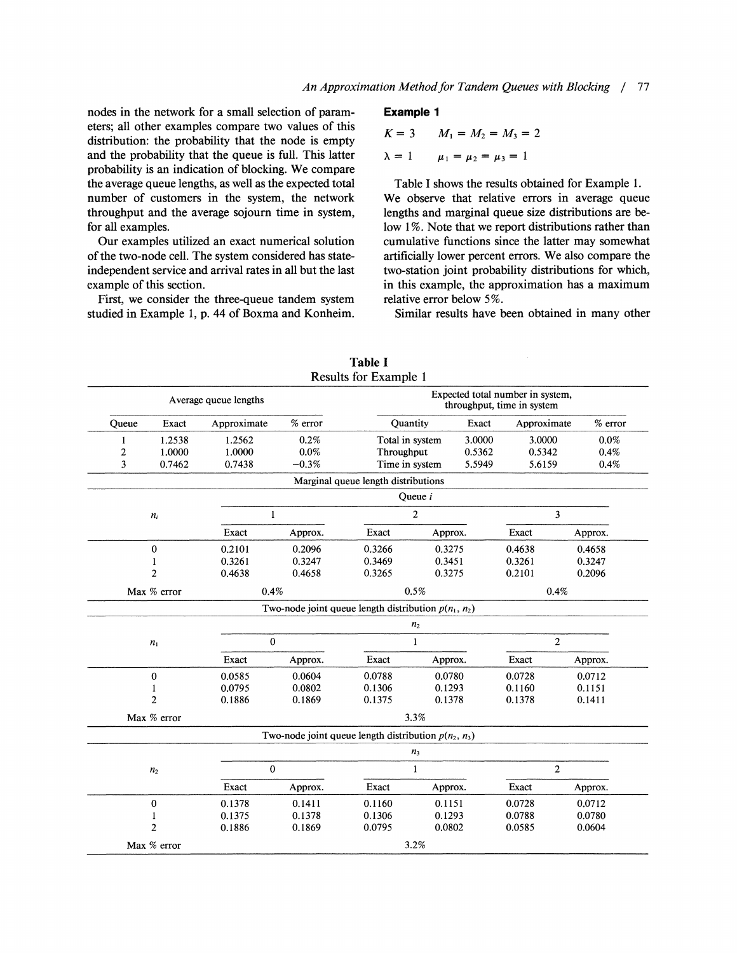nodes in the network for a small selection of param- **Example 1**  eters; all other examples compare two values of this distribution: the probability that the node is empty and the probability that the queue is full. This latter probability is an indication of blocking. We compare the average queue lengths, as well as the expected total Table I shows the results obtained for Example 1. number of customers in the system, the network We observe that relative errors in average queue throughput and the average sojourn time in system, lengths and marginal queue size distributions are befor all examples. low 1%. Note that we report distributions rather than

of the two-node cell. The system considered has state- artificially lower percent errors. We also compare the independent service and arrival rates in all but the last two-station joint probability distributions for which, example of this section. in this example, the approximation has a maximum

First, we consider the three-queue tandem system relative error below 5%. studied in Example 1, p. 44 of Boxma and Konheim. Similar results have been obtained in many other

$$
K = 3 \qquad M_1 = M_2 = M_3 = 2
$$

 $\lambda = 1$  $\mu_1 = \mu_2 = \mu_3 = 1$ 

Our examples utilized an exact numerical solution cumulative functions since the latter may somewhat

Results for Example 1 Average queue lengths Expected total number in system,<br>throughout time in system, throughput, time in system Queue Exact Approximate % error Quantity Exact Approximate % error 1 1.2538 1.2562 0.2% Total in system 3.0000 3.0000 0.0%<br>2 1.0000 1.0000 0.0% Throughput 0.5362 0.5342 0.4% 2 1.OOOO 1.OOOO 0.0% Throughput 0.5362 0.5342 0.4% 3 0.7462 0.7438 -0.3% Time in system 5.5949 5.6159 0.4% Marginal queue length distributions Queue i  $n_i$  $1$  3 Exact Approx. Exact Approx. Exact Approx. Exact Approx.  $\bf{0}$ 0.2101 0.2096 0.3266 0.3275 0.4638 0.4658 0.3247 0.3261  $\mathbf{1}$ 0.3261 0.3469 0.3451 0.3247  $\overline{2}$ 0.4638 0.4658 0.3265 0.3275 0.2101 0.2096 Max % error  $0.4\%$  0.4% 0.5% 0.4% 0.4% Two-node joint queue length distribution  $p(n_1, n_2)$  $n<sub>2</sub>$  $n_1$  $\frac{1}{2}$ Exact Approx. Exact Approx. Exact Approx. Exact Approx.  $\bf{0}$ 0.0585 0.0604 0.0788 0.0780 0.0728 0.0712 0.0802 0.0795  $\mathbf{1}$ 0.1306 0.1293 0.1160 0.1151  $\overline{2}$ 0.1886 0.1869 0.1375 0.1378 0.1378 0.1411  $\text{Max } \%$  error 3.3% Two-node joint queue length distribution  $p(n_2, n_3)$  $n_{3}$  $n_2$  0 1 2 Exact Approx. Exact Approx. Exact Approx. 0 0.1378 0.1411 0.1160 0.1151 0.0728 0.0712 1 0.1375 0.1378 0.1306 0.1293 0.0788 0.0780 2 0.1886 0.1869 0.0795 0.0802 0.0585 0.0604 Max % error 3.2%

**Table** I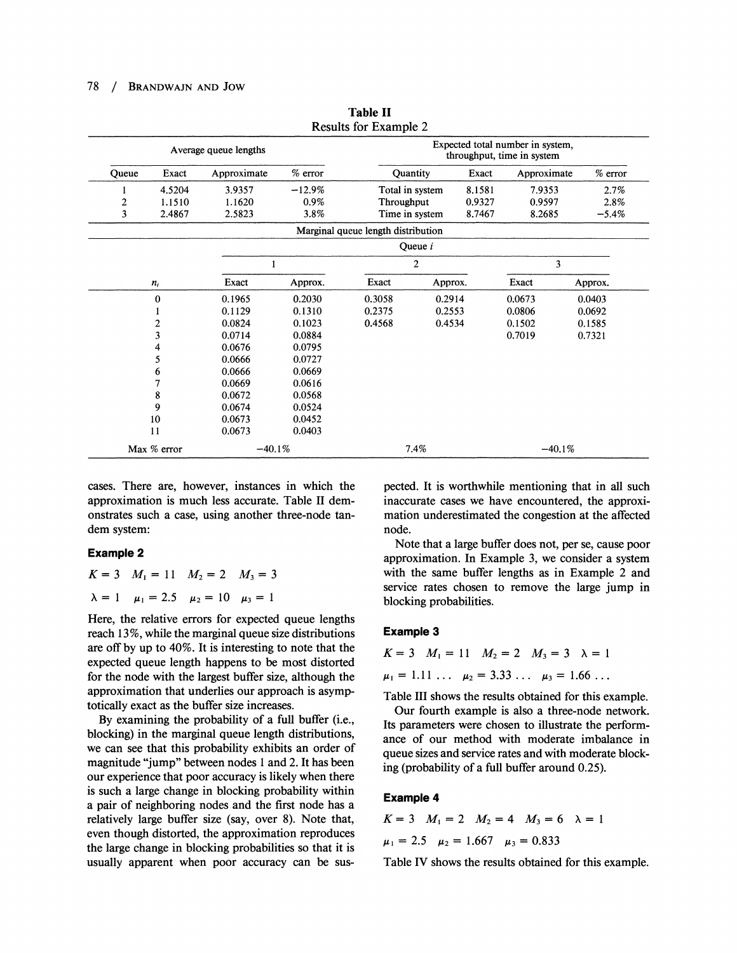#### 78 / BRANDWAJN AND JOW

|              |              |                       |                                                                | Results for Example 2              |                  |             |                  |          |         |
|--------------|--------------|-----------------------|----------------------------------------------------------------|------------------------------------|------------------|-------------|------------------|----------|---------|
|              |              | Average queue lengths | Expected total number in system,<br>throughput, time in system |                                    |                  |             |                  |          |         |
| Queue        | Exact        | Approximate           | $%$ error                                                      | Exact<br>Quantity                  |                  | Approximate |                  | % error  |         |
| 1            | 4.5204       | 3.9357                | $-12.9%$                                                       | Total in system<br>8.1581          |                  | 7.9353      |                  | 2.7%     |         |
| $\mathbf{2}$ | 1.1510       | 1.1620                | $0.9\%$                                                        | Throughput<br>0.9327               |                  | 0.9597      |                  | 2.8%     |         |
| 3            | 2.4867       | 2.5823                | 3.8%                                                           | Time in system                     |                  | 8.7467      | 8.2685           |          | $-5.4%$ |
|              |              |                       |                                                                | Marginal queue length distribution |                  |             |                  |          |         |
|              |              |                       |                                                                |                                    | Queue <i>i</i>   |             |                  |          |         |
|              |              |                       | $\overline{2}$                                                 |                                    |                  |             |                  | 3        |         |
|              | $n_i$        | Exact                 | Approx.                                                        | Exact                              | Exact<br>Approx. |             | Approx.          |          |         |
|              | $\mathbf{0}$ | 0.1965                | 0.2030                                                         | 0.3058                             | 0.2914           |             | 0.0673           | 0.0403   |         |
|              |              | 0.1129                | 0.1310                                                         | 0.2375                             | 0.2553           |             | 0.0806<br>0.0692 |          |         |
|              | 2            | 0.0824                | 0.1023                                                         | 0.4568                             | 0.4534           |             | 0.1502           | 0.1585   |         |
|              | 3            | 0.0714                | 0.0884                                                         |                                    |                  |             | 0.7019           | 0.7321   |         |
|              | 4            | 0.0676                | 0.0795                                                         |                                    |                  |             |                  |          |         |
|              | 5            | 0.0666                | 0.0727                                                         |                                    |                  |             |                  |          |         |
|              | 6            | 0.0666                | 0.0669                                                         |                                    |                  |             |                  |          |         |
|              |              | 0.0669                | 0.0616                                                         |                                    |                  |             |                  |          |         |
|              | 8            | 0.0672                | 0.0568                                                         |                                    |                  |             |                  |          |         |
|              | 9            | 0.0674                | 0.0524                                                         |                                    |                  |             |                  |          |         |
|              | 10           | 0.0673                | 0.0452                                                         |                                    |                  |             |                  |          |         |
|              | 11           | 0.0673                | 0.0403                                                         |                                    |                  |             |                  |          |         |
|              | Max % error  | $-40.1%$              |                                                                |                                    | 7.4%             |             |                  | $-40.1%$ |         |

**Table I1**  Results for Example 2

cases. There are, however, instances in which the approximation is much less accurate. Table I1 demonstrates such a case, using another three-node tandem system:

#### **Example 2**

 $K=3$   $M_1=11$   $M_2=2$   $M_3=3$  $\lambda = 1$   $\mu_1 = 2.5$   $\mu_2 = 10$   $\mu_3 = 1$ 

Here, the relative errors for expected queue lengths reach *13*%, while the marginal queue size distributions are off by up to *40%.* It is interesting to note that the expected queue length happens to be most distorted for the node with the largest buffer size, although the approximation that underlies our approach is asymptotically exact as the buffer size increases.

By examining the probability of a full buffer (i.e., blocking) in the marginal queue length distributions, we can see that this probability exhibits an order of magnitude "jump" between nodes 1 and *2.* It has been our experience that poor accuracy is likely when there is such a large change in blocking probability within a pair of neighboring nodes and the first node has a relatively large buffer size (say, over *8).* Note that, even though distorted, the approximation reproduces the large change in blocking probabilities so that it is usually apparent when poor accuracy can be suspected. It is worthwhile mentioning that in all such inaccurate cases we have encountered, the approximation underestimated the congestion at the affected node.

Note that a large buffer does not, per se, cause poor approximation. In Example **3,** we consider a system with the same buffer lengths as in Example *2* and service rates chosen to remove the large jump in blocking probabilities.

#### **Example 3**

$$
K = 3 \quad M_1 = 11 \quad M_2 = 2 \quad M_3 = 3 \quad \lambda = 1
$$
  

$$
\mu_1 = 1.11 \quad \dots \quad \mu_2 = 3.33 \quad \dots \quad \mu_3 = 1.66 \quad \dots
$$

Table 111 shows the results obtained for this example.

Our fourth example is also a three-node network. Its parameters were chosen to illustrate the perfomance of our method with moderate imbalance in queue sizes and service rates and with moderate blocking (probability of a full buffer around *0.25).* 

#### **Example 4**

 $K = 3$   $M_1 = 2$   $M_2 = 4$   $M_3 = 6$   $\lambda = 1$  $\mu_1 = 2.5 \quad \mu_2 = 1.667 \quad \mu_3 = 0.833$ 

Table IV shows the results obtained for this example.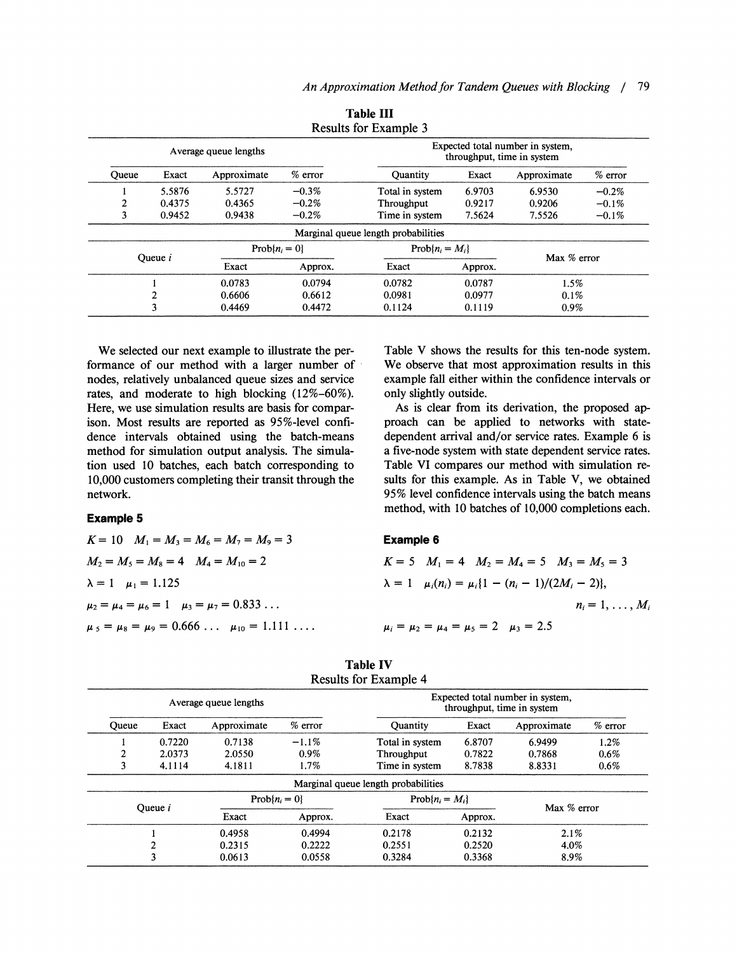|       |         |                       |           | Results for Example 3                                          |         |             |          |  |
|-------|---------|-----------------------|-----------|----------------------------------------------------------------|---------|-------------|----------|--|
|       |         | Average queue lengths |           | Expected total number in system,<br>throughput, time in system |         |             |          |  |
| Oueue | Exact   | Approximate           | $%$ error | $%$ error<br>Exact<br><b>Ouantity</b><br>Approximate           |         |             |          |  |
|       | 5.5876  | 5.5727                | $-0.3\%$  | Total in system                                                | 6.9703  | 6.9530      | $-0.2\%$ |  |
| 2     | 0.4375  | 0.4365                | $-0.2%$   | Throughput                                                     | 0.9217  | 0.9206      | $-0.1%$  |  |
| 3     | 0.9452  | 0.9438                | $-0.2\%$  | Time in system                                                 | 7.5624  | 7.5526      | $-0.1\%$ |  |
|       |         |                       |           | Marginal queue length probabilities                            |         |             |          |  |
|       | Oueue i | $Prob\{n_i = 0\}$     |           | $Prob\{n_i = M_i\}$                                            |         |             |          |  |
|       |         | Exact                 | Approx.   | Exact                                                          | Approx. | Max % error |          |  |
|       |         | 0.0783                | 0.0794    | 0.0782                                                         | 0.0787  | 1.5%        |          |  |
|       | 2       | 0.6606                | 0.6612    | 0.0981                                                         | 0.0977  | $0.1\%$     |          |  |
|       | 3       | 0.4469                | 0.4472    | 0.1124                                                         | 0.1119  | $0.9\%$     |          |  |

**Table I11** 

We selected our next example to illustrate the performance of our method with a larger number of nodes, relatively unbalanced queue sizes and service rates, and moderate to high blocking (12%-60%). Here, we use simulation results are basis for comparison. Most results are reported as 95%-level confidence intervals obtained using the batch-means method for simulation output analysis. The simulation used 10 batches, each batch corresponding to 10,000 customers completing their transit through the network.

### **Example 5**

 $K = 10$   $M_1 = M_3 = M_6 = M_7 = M_9 = 3$  $M_2 = M_5 = M_8 = 4$   $M_4 = M_{10} = 2$  $\lambda = 1$   $\mu_1 = 1.125$  $\mu_2 = \mu_4 = \mu_6 = 1$   $\mu_3 = \mu_7 = 0.833...$  $\mu_5 = \mu_8 = \mu_9 = 0.666 \ldots \mu_{10} = 1.111 \ldots$  Table V shows the results for this ten-node system. We observe that most approximation results in this example fall either within the confidence intervals or only slightly outside.

As is clear from its derivation, the proposed approach can be applied to networks with statedependent arrival and/or service rates. Example 6 is a five-node system with state dependent service rates. Table VI compares our method with simulation results for this example. As in Table V, we obtained 95% level confidence intervals using the batch means method, with 10 batches of 10,000 completions each.

#### **Example** 6

$$
K = 5 \quad M_1 = 4 \quad M_2 = M_4 = 5 \quad M_3 = M_5 = 3
$$
\n
$$
\lambda = 1 \quad \mu_i(n_i) = \mu_i \{1 - (n_i - 1)/(2M_i - 2)\},
$$
\n
$$
n_i = 1, \dots, M_i
$$
\n
$$
\mu_i = \mu_2 = \mu_4 = \mu_5 = 2 \quad \mu_3 = 2.5
$$

|              |           | Average queue lengths |           | Expected total number in system.<br>throughput, time in system |         |             |           |  |
|--------------|-----------|-----------------------|-----------|----------------------------------------------------------------|---------|-------------|-----------|--|
| <b>Oueue</b> | Exact     | Approximate           | $%$ error | Exact<br>Quantity                                              |         | Approximate | $%$ error |  |
|              | 0.7220    | 0.7138                | $-1.1\%$  | Total in system                                                | 6.8707  | 6.9499      | 1.2%      |  |
| 2            | 2.0373    | 2.0550                | $0.9\%$   | Throughput                                                     | 0.7822  | 0.7868      | $0.6\%$   |  |
| 3            | 4.1114    | 4.1811                | 1.7%      | 8.7838<br>Time in system<br>8.8331                             |         | $0.6\%$     |           |  |
|              |           |                       |           | Marginal queue length probabilities                            |         |             |           |  |
|              | Oueue $i$ | $Prob\{n_i = 0\}$     |           | $Prob\{n_i = M_i\}$                                            |         |             |           |  |
|              |           | Exact                 | Approx.   | Exact                                                          | Approx. | Max % error |           |  |
|              |           | 0.4958                | 0.4994    | 0.2178                                                         | 0.2132  | 2.1%        |           |  |
|              | ኅ         | 0.2315                | 0.2222    | 0.2551                                                         | 0.2520  | 4.0%        |           |  |
|              | 3         | 0.0613                | 0.0558    | 0.3284                                                         | 0.3368  |             | 8.9%      |  |

| <b>Table IV</b>              |  |
|------------------------------|--|
| <b>Results for Example 4</b> |  |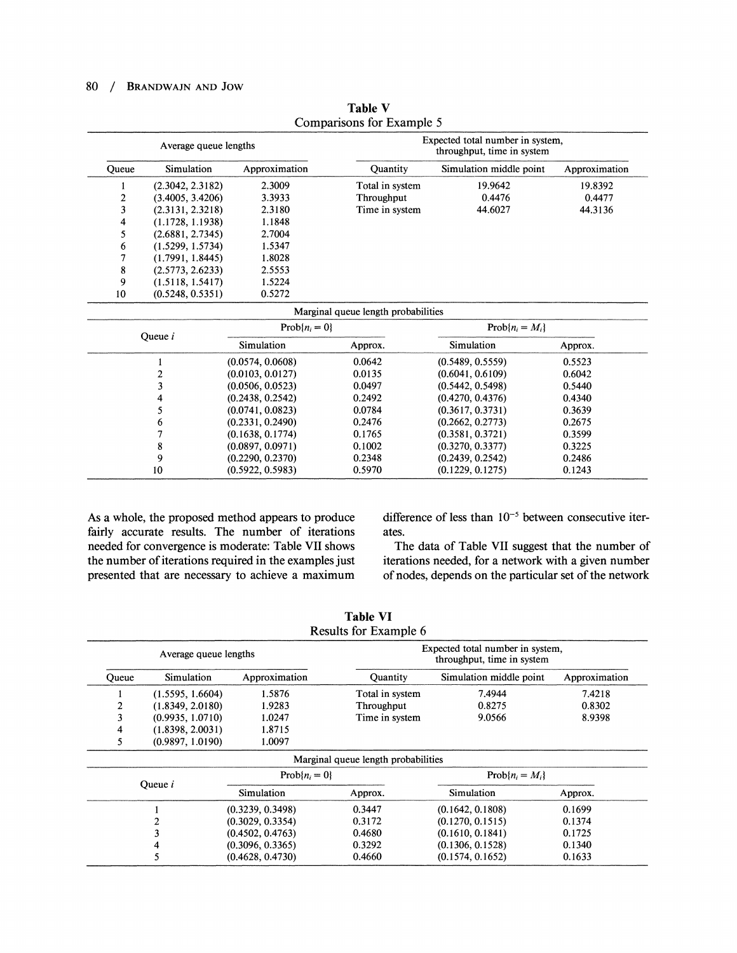#### 80 / **BRANDWAJN AND JOW**

|       | Average queue lengths   |                   |                                     | Expected total number in system,<br>throughput, time in system |               |  |
|-------|-------------------------|-------------------|-------------------------------------|----------------------------------------------------------------|---------------|--|
| Queue | Simulation              | Approximation     | <b>Ouantity</b>                     | Simulation middle point                                        | Approximation |  |
| 1     | (2.3042, 2.3182)        | 2.3009            | Total in system                     | 19.9642                                                        | 19.8392       |  |
| 2     | (3.4005, 3.4206)        | 3.3933            | Throughput                          | 0.4476                                                         | 0.4477        |  |
| 3     | (2.3131, 2.3218)        | 2.3180            | Time in system                      | 44.6027                                                        | 44.3136       |  |
| 4     | (1.1728, 1.1938)        | 1.1848            |                                     |                                                                |               |  |
| 5     | (2.6881, 2.7345)        | 2.7004            |                                     |                                                                |               |  |
| 6     | (1.5299, 1.5734)        | 1.5347            |                                     |                                                                |               |  |
| 7     | (1.7991, 1.8445)        | 1.8028            |                                     |                                                                |               |  |
| 8     | (2.5773, 2.6233)        | 2.5553            |                                     |                                                                |               |  |
| 9     | (1.5118, 1.5417)        | 1.5224            |                                     |                                                                |               |  |
| 10    | (0.5248, 0.5351)        | 0.5272            |                                     |                                                                |               |  |
|       |                         |                   | Marginal queue length probabilities |                                                                |               |  |
|       |                         | $Prob\{n_i = 0\}$ |                                     | $Prob\{n_i = M_i\}$                                            |               |  |
|       | Queue i                 | Simulation        | Approx.                             | Simulation                                                     | Approx.       |  |
|       |                         | (0.0574, 0.0608)  | 0.0642                              | (0.5489, 0.5559)                                               | 0.5523        |  |
|       | $\overline{\mathbf{c}}$ | (0.0103, 0.0127)  | 0.0135                              | (0.6041, 0.6109)                                               | 0.6042        |  |
|       | 3                       | (0.0506, 0.0523)  | 0.0497                              | (0.5442, 0.5498)                                               | 0.5440        |  |
|       | 4                       | (0.2438, 0.2542)  | 0.2492                              | (0.4270, 0.4376)                                               | 0.4340        |  |
|       | 5                       | (0.0741, 0.0823)  | 0.0784                              | (0.3617, 0.3731)                                               | 0.3639        |  |
|       | 6                       | (0.2331, 0.2490)  | 0.2476                              | (0.2662, 0.2773)                                               | 0.2675        |  |
|       | 7                       | (0.1638, 0.1774)  | 0.1765                              | (0.3581, 0.3721)                                               | 0.3599        |  |
|       | 8                       | (0.0897, 0.0971)  | 0.1002                              | (0.3270, 0.3377)                                               | 0.3225        |  |
|       | 9                       | (0.2290, 0.2370)  | 0.2348                              | (0.2439, 0.2542)                                               | 0.2486        |  |
|       | 10                      | (0.5922, 0.5983)  | 0.5970                              | (0.1229, 0.1275)                                               | 0.1243        |  |

**Table** V Comparisons for Example 5

fairly accurate results. The number of iterations ates. needed for convergence is moderate: Table VII shows The data of Table VII suggest that the number of the number of iterations required in the examples just iterations needed, for a network with a given number presented that are necessary to achieve a maximum of nodes, depends on the particular set of the network

As a whole, the proposed method appears to produce difference of less than  $10^{-5}$  between consecutive iter-

|                  | Average queue lengths |                   | Expected total number in system,<br>throughput, time in system |                         |               |  |  |
|------------------|-----------------------|-------------------|----------------------------------------------------------------|-------------------------|---------------|--|--|
| Queue            | Simulation            | Approximation     | Quantity                                                       | Simulation middle point | Approximation |  |  |
|                  | (1.5595, 1.6604)      | 1.5876            | Total in system                                                | 7.4944                  | 7.4218        |  |  |
| $\boldsymbol{2}$ | (1.8349, 2.0180)      | 1.9283            | Throughput                                                     | 0.8275                  | 0.8302        |  |  |
| 3                | (0.9935, 1.0710)      | 1.0247            | Time in system                                                 | 9.0566                  | 8.9398        |  |  |
| 4                | (1.8398, 2.0031)      | 1.8715            |                                                                |                         |               |  |  |
| 5                | (0.9897, 1.0190)      | 1.0097            |                                                                |                         |               |  |  |
|                  |                       |                   | Marginal queue length probabilities                            |                         |               |  |  |
|                  |                       |                   |                                                                | $Prob\{n_i = M_i\}$     |               |  |  |
|                  |                       | $Prob\{n_i = 0\}$ |                                                                |                         |               |  |  |
|                  | Oueue <i>i</i>        | Simulation        | Approx.                                                        | Simulation              | Approx.       |  |  |
|                  |                       | (0.3239, 0.3498)  | 0.3447                                                         | (0.1642, 0.1808)        | 0.1699        |  |  |
|                  |                       | (0.3029, 0.3354)  | 0.3172                                                         | (0.1270, 0.1515)        | 0.1374        |  |  |
|                  |                       | (0.4502, 0.4763)  | 0.4680                                                         | (0.1610, 0.1841)        | 0.1725        |  |  |
|                  | 4                     | (0.3096, 0.3365)  | 0.3292                                                         | (0.1306, 0.1528)        | 0.1340        |  |  |

**Table** VI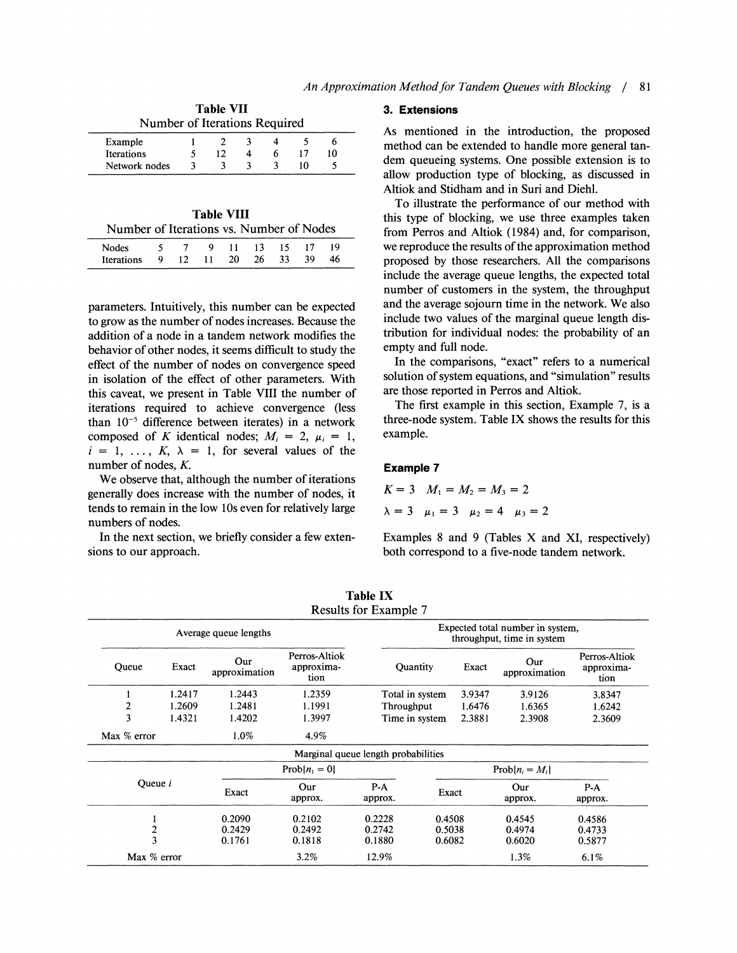|                               | <b>Table VII</b> |  |    |
|-------------------------------|------------------|--|----|
| Number of Iterations Required |                  |  |    |
| Example                       |                  |  | n  |
| Iterations                    | 12               |  | ۱0 |
| Network nodes                 |                  |  |    |

**Table VIII**  Number of Iterations vs. Number of Nodes

Nodes 5 7 9 11 13 15 17 19 Iterations 9 12 11 20 26 33 39 46

| parameters. Intuitively, this number can be expected        |
|-------------------------------------------------------------|
| to grow as the number of nodes increases. Because the       |
| addition of a node in a tandem network modifies the         |
| behavior of other nodes, it seems difficult to study the    |
| effect of the number of nodes on convergence speed          |
| in isolation of the effect of other parameters. With        |
| this caveat, we present in Table VIII the number of         |
| iterations required to achieve convergence (less            |
| than $10^{-5}$ difference between iterates) in a network    |
| composed of K identical nodes; $M_i = 2$ , $\mu_i = 1$ ,    |
| $i = 1, \ldots, K, \lambda = 1$ , for several values of the |

number of nodes, K. We observe that, although the number of iterations generally does increase with the number of nodes, it tends to remain in the low 10s even for relatively large numbers of nodes.

In the next section, we briefly consider a few extensions to our approach.

#### **3. Extensions**

As mentioned in the introduction, the proposed method can be extended to handle more general tandem queueing systems. One possible extension is to allow production type of blocking, as discussed in Altiok and Stidham and in Suri and Diehl.

To illustrate the performance of our method with this type of blocking, we use three examples taken from Perros and Altiok (1984) and, for comparison, we reproduce the results of the approximation method proposed by those researchers. All the comparisons include the average queue lengths, the expected total number of customers in the system, the throughput and the average sojourn time in the network. We also include two values of the marginal queue length distribution for individual nodes: the probability of an empty and full node.

In the comparisons, "exact" refers to a numerical solution of system equations, and "simulation" results are those reported in Perros and Altiok.

The first example in this section, Example 7, is a three-node system. Table IX shows the results for this example.

#### **Example 7**

 $K = 3$   $M_1 = M_2 = M_3 = 2$  $\lambda = 3$   $\mu_1 = 3$   $\mu_2 = 4$   $\mu_3 = 2$ 

Examples 8 and 9 (Tables X and XI, respectively) both correspond to a five-node tandem network.

|               |        |                                                                |                                     | <b>Results for Example 7</b>        |        |        |                      |                                     |
|---------------|--------|----------------------------------------------------------------|-------------------------------------|-------------------------------------|--------|--------|----------------------|-------------------------------------|
|               |        | Expected total number in system,<br>throughput, time in system |                                     |                                     |        |        |                      |                                     |
| Queue         | Exact  | Our<br>approximation                                           | Perros-Altiok<br>approxima-<br>tion | Quantity                            |        | Exact  | Our<br>approximation | Perros-Altiok<br>approxima-<br>tion |
|               | 1.2417 | 1.2443                                                         | 1.2359                              | Total in system                     |        | 3.9347 | 3.9126               | 3.8347                              |
| 2             | 1.2609 | 1.2481                                                         | 1.1991                              | Throughput                          |        | 1.6476 | 1.6365               | 1.6242                              |
| 3             | 1.4321 | 1.4202                                                         | 1.3997                              | Time in system                      |        | 2.3881 | 2.3908               | 2.3609                              |
| Max % error   |        | 1.0%                                                           | 4.9%                                |                                     |        |        |                      |                                     |
|               |        |                                                                |                                     | Marginal queue length probabilities |        |        |                      |                                     |
|               |        |                                                                | $Prob\{n_i = 0\}$                   |                                     |        |        | $Prob\{n_i = M_i\}$  |                                     |
| Queue i       |        | Exact                                                          | Our<br>approx.                      | $P-A$<br>approx.                    | Exact  |        | Our<br>approx.       | $P-A$<br>approx.                    |
|               |        | 0.2090                                                         | 0.2102                              | 0.2228                              | 0.4508 |        | 0.4545               | 0.4586                              |
|               |        | 0.2429                                                         | 0.2492                              | 0.2742                              | 0.5038 |        | 0.4974               | 0.4733                              |
| $\frac{2}{3}$ |        | 0.1761                                                         | 0.1818                              | 0.1880                              | 0.6082 |        | 0.6020               | 0.5877                              |
| Max % error   |        |                                                                | 3.2%                                | 12.9%                               | 1.3%   |        | 6.1%                 |                                     |

**Table IX**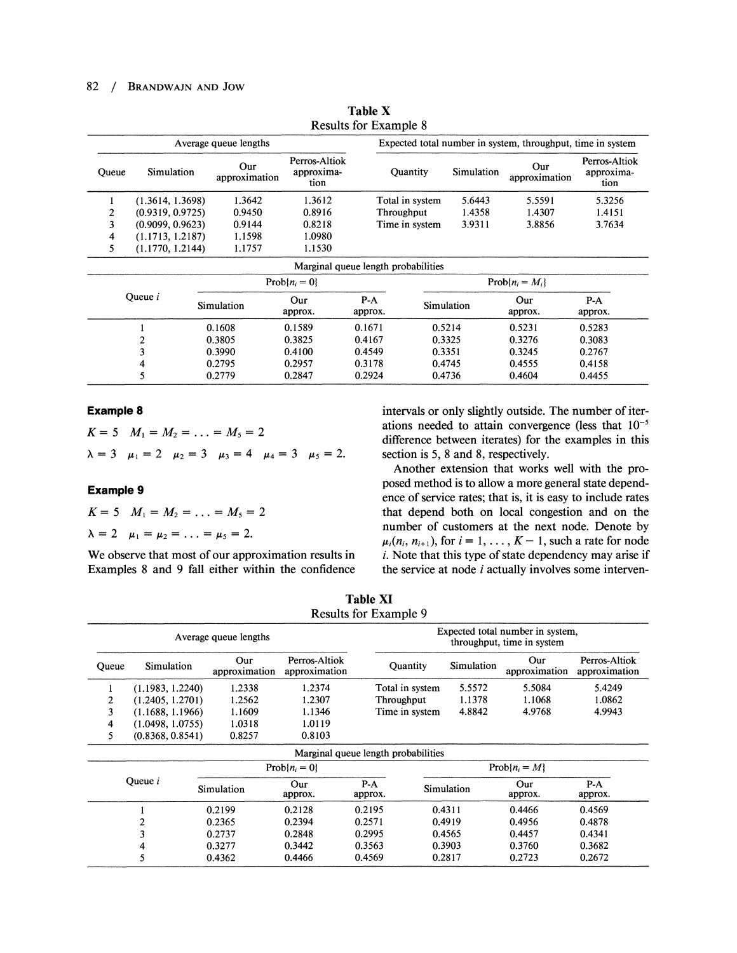### 82 / BRANDWAJN AND JOW

|       |                  | Average queue lengths |                                     |                                     |                     |            | Expected total number in system, throughput, time in system |                  |                      |                                     |
|-------|------------------|-----------------------|-------------------------------------|-------------------------------------|---------------------|------------|-------------------------------------------------------------|------------------|----------------------|-------------------------------------|
| Queue | Simulation       | Our<br>approximation  | Perros-Altiok<br>approxima-<br>tion |                                     | <b>Quantity</b>     |            | Simulation                                                  |                  | Our<br>approximation | Perros-Altiok<br>approxima-<br>tion |
|       | (1.3614, 1.3698) | 1.3642                | 1.3612                              | Total in system                     |                     | 5.6443     | 5.5591                                                      | 5.3256           |                      |                                     |
| 2     | (0.9319, 0.9725) | 0.9450                | 0.8916                              | Throughput                          |                     | 1.4358     | 1.4307                                                      | 1.4151           |                      |                                     |
| 3     | (0.9099, 0.9623) | 0.9144                | 0.8218                              |                                     | Time in system      |            | 3.8856                                                      | 3.7634           |                      |                                     |
| 4     | (1.1713, 1.2187) | 1.1598                | 1.0980                              |                                     |                     |            |                                                             |                  |                      |                                     |
| 5     | (1.1770, 1.2144) | 1.1757                | 1.1530                              |                                     |                     |            |                                                             |                  |                      |                                     |
|       |                  |                       |                                     | Marginal queue length probabilities |                     |            |                                                             |                  |                      |                                     |
|       |                  |                       | $Prob\{n_i = 0\}$                   |                                     | $Prob\{n_i = M_i\}$ |            |                                                             |                  |                      |                                     |
|       | Queue $i$        | Simulation            | Our<br>approx.                      | $P-A$<br>approx.                    |                     | Simulation | Our<br>approx.                                              | $P-A$<br>approx. |                      |                                     |
|       |                  | 0.1608                | 0.1589                              | 0.1671                              | 0.5214              |            | 0.5231                                                      | 0.5283           |                      |                                     |
|       | 2                | 0.3805                | 0.3825                              | 0.4167                              | 0.3325              |            | 0.3276                                                      | 0.3083           |                      |                                     |
|       | 3                | 0.3990                | 0.4100                              | 0.4549                              | 0.3351              |            | 0.3245                                                      | 0.2767           |                      |                                     |
|       | 4                | 0.2795                | 0.2957                              | 0.3178                              | 0.4745              |            | 0.4555                                                      | 0.4158           |                      |                                     |
|       | 5                | 0.2779                | 0.2847                              | 0.2924                              | 0.4736              |            | 0.4604                                                      | 0.4455           |                      |                                     |

**Table X**  Results for Example 8

 $\lambda = 3$   $\mu_1 = 2$   $\mu_2 = 3$   $\mu_3 = 4$   $\mu_4 = 3$   $\mu_5 = 2$ . section is 5, 8 and 8, respectively.

| $K = 5$ $M_1 = M_2 = \ldots = M_5 = 2$               |
|------------------------------------------------------|
| $\lambda = 2$ $\mu_1 = \mu_2 = \ldots = \mu_5 = 2$ . |

**Example 8** intervals or only slightly outside. The number of iter- $K = 5$   $M_1 = M_2 = \ldots = M_5 = 2$  ations needed to attain convergence (less that  $10^{-5}$  difference between iterates) for the examples in this

Another extension that works well with the pro-**Example 9 Example 9 posed method is to allow a more general state depend-**<br>**Example 9** ence of service rates; that is, it is easy to include rates that depend both on local congestion and on the number of customers at the next node. Denote by  $\mu_i(n_i, n_{i+1})$ , for  $i = 1, \ldots, K - 1$ , such a rate for node We observe that most of our approximation results in  $i$ . Note that this type of state dependency may arise if Examples 8 and 9 fall either within the confidence the service at node  $i$  actually involves some interven-

| <b>Table XI</b>              |
|------------------------------|
| <b>Results for Example 9</b> |

| Average queue lengths               |                  |                      |                                | Expected total number in system,<br>throughput, time in system |            |                      |                                |
|-------------------------------------|------------------|----------------------|--------------------------------|----------------------------------------------------------------|------------|----------------------|--------------------------------|
| Queue                               | Simulation       | Our<br>approximation | Perros-Altiok<br>approximation | Quantity                                                       | Simulation | Our<br>approximation | Perros-Altiok<br>approximation |
| 1                                   | (1.1983, 1.2240) | 1.2338               | 1.2374                         | Total in system                                                | 5.5572     | 5.5084               | 5.4249                         |
| 2                                   | (1.2405, 1.2701) | 1.2562               | 1.2307                         | Throughput                                                     | 1.1378     | 1.1068               | 1.0862                         |
| 3                                   | (1.1688, 1.1966) | 1.1609               | 1.1346                         | Time in system                                                 | 4.8842     | 4.9768               | 4.9943                         |
| 4                                   | (1.0498, 1.0755) | 1.0318               | 1.0119                         |                                                                |            |                      |                                |
| 5                                   | (0.8368, 0.8541) | 0.8257               | 0.8103                         |                                                                |            |                      |                                |
| Marginal queue length probabilities |                  |                      |                                |                                                                |            |                      |                                |
| $Prob\{n_i = 0\}$                   |                  |                      |                                | $Prob\{n_i = M\}$                                              |            |                      |                                |
|                                     | Queue i          | Simulation           | Our<br>approx.                 | $P-A$<br>approx.                                               | Simulation | Our<br>approx.       | $P-A$<br>approx.               |
|                                     |                  | 0.2199               | 0.2128                         | 0.2195                                                         | 0.4311     | 0.4466               | 0.4569                         |
|                                     | 2                | 0.2365               | 0.2394                         | 0.2571                                                         | 0.4919     | 0.4956               | 0.4878                         |
|                                     | 3                | 0.2737               | 0.2848                         | 0.2995                                                         | 0.4565     | 0.4457               | 0.4341                         |
|                                     | 4                | 0.3277               | 0.3442                         | 0.3563                                                         | 0.3903     | 0.3760               | 0.3682                         |
|                                     | 5                | 0.4362               | 0.4466                         | 0.4569                                                         | 0.2817     | 0.2723               | 0.2672                         |